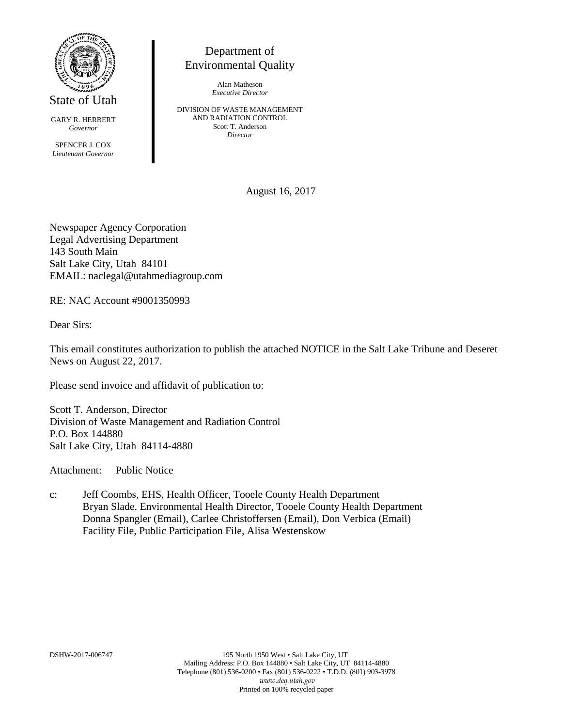

GARY R. HERBERT *Governor*

SPENCER J. COX *Lieutenant Governor*

## Department of Environmental Quality

Alan Matheson *Executive Director*

DIVISION OF WASTE MANAGEMENT AND RADIATION CONTROL Scott T. Anderson *Director*

August 16, 2017

Newspaper Agency Corporation Legal Advertising Department 143 South Main Salt Lake City, Utah 84101 EMAIL: naclegal@utahmediagroup.com

RE: NAC Account #9001350993

Dear Sirs:

This email constitutes authorization to publish the attached NOTICE in the Salt Lake Tribune and Deseret News on August 22, 2017.

Please send invoice and affidavit of publication to:

Scott T. Anderson, Director Division of Waste Management and Radiation Control P.O. Box 144880 Salt Lake City, Utah 84114-4880

Attachment: Public Notice

c: Jeff Coombs, EHS, Health Officer, Tooele County Health Department Bryan Slade, Environmental Health Director, Tooele County Health Department Donna Spangler (Email), Carlee Christoffersen (Email), Don Verbica (Email) Facility File, Public Participation File, Alisa Westenskow

DSHW-2017-006747 195 North 1950 West • Salt Lake City, UT Mailing Address: P.O. Box 144880 • Salt Lake City, UT 84114-4880 Telephone (801) 536-0200 • Fax (801) 536-0222 • T.D.D. (801) 903-3978 *www.deq.utah.gov* Printed on 100% recycled paper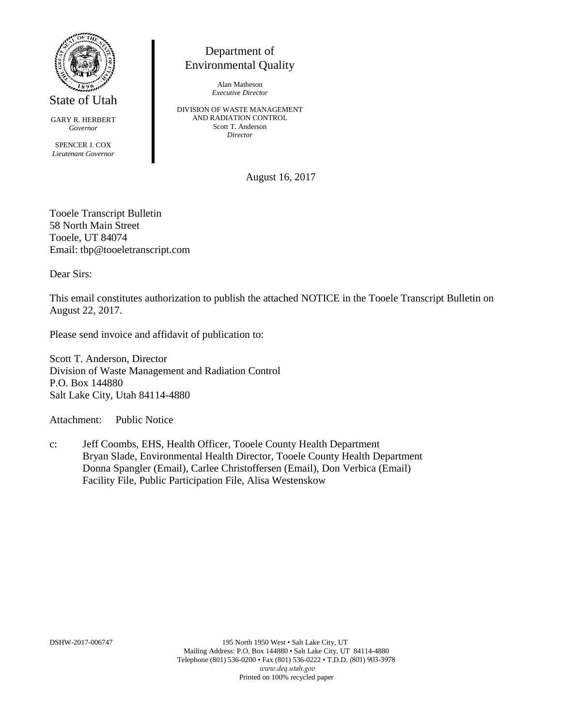

GARY R. HERBERT *Governor*

SPENCER J. COX *Lieutenant Governor*

## Department of Environmental Quality

Alan Matheson *Executive Director*

DIVISION OF WASTE MANAGEMENT AND RADIATION CONTROL Scott T. Anderson *Director*

August 16, 2017

Tooele Transcript Bulletin 58 North Main Street Tooele, UT 84074 Email: tbp@tooeletranscript.com

Dear Sirs:

This email constitutes authorization to publish the attached NOTICE in the Tooele Transcript Bulletin on August 22, 2017.

Please send invoice and affidavit of publication to:

Scott T. Anderson, Director Division of Waste Management and Radiation Control P.O. Box 144880 Salt Lake City, Utah 84114-4880

Attachment: Public Notice

c: Jeff Coombs, EHS, Health Officer, Tooele County Health Department Bryan Slade, Environmental Health Director, Tooele County Health Department Donna Spangler (Email), Carlee Christoffersen (Email), Don Verbica (Email) Facility File, Public Participation File, Alisa Westenskow

DSHW-2017-006747 195 North 1950 West • Salt Lake City, UT Mailing Address: P.O. Box 144880 • Salt Lake City, UT 84114-4880 Telephone (801) 536-0200 • Fax (801) 536-0222 • T.D.D. (801) 903-3978 *www.deq.utah.gov* Printed on 100% recycled paper